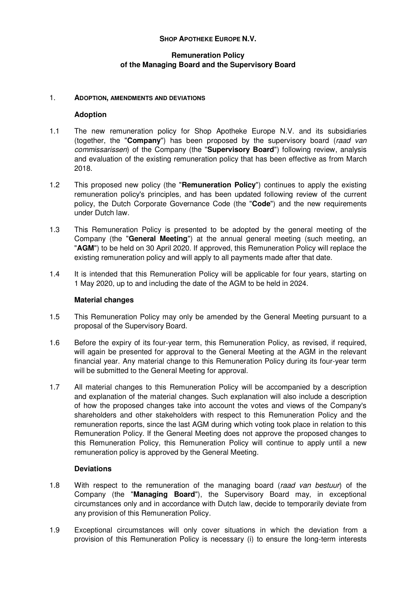# **SHOP APOTHEKE EUROPE N.V.**

# **Remuneration Policy of the Managing Board and the Supervisory Board**

### 1. **ADOPTION, AMENDMENTS AND DEVIATIONS**

## **Adoption**

- 1.1 The new remuneration policy for Shop Apotheke Europe N.V. and its subsidiaries (together, the "**Company**") has been proposed by the supervisory board (raad van commissarissen) of the Company (the "**Supervisory Board**") following review, analysis and evaluation of the existing remuneration policy that has been effective as from March 2018.
- 1.2 This proposed new policy (the "**Remuneration Policy**") continues to apply the existing remuneration policy's principles, and has been updated following review of the current policy, the Dutch Corporate Governance Code (the "**Code**") and the new requirements under Dutch law.
- 1.3 This Remuneration Policy is presented to be adopted by the general meeting of the Company (the "**General Meeting**") at the annual general meeting (such meeting, an "**AGM**") to be held on 30 April 2020. If approved, this Remuneration Policy will replace the existing remuneration policy and will apply to all payments made after that date.
- 1.4 It is intended that this Remuneration Policy will be applicable for four years, starting on 1 May 2020, up to and including the date of the AGM to be held in 2024.

# **Material changes**

- 1.5 This Remuneration Policy may only be amended by the General Meeting pursuant to a proposal of the Supervisory Board.
- 1.6 Before the expiry of its four-year term, this Remuneration Policy, as revised, if required, will again be presented for approval to the General Meeting at the AGM in the relevant financial year. Any material change to this Remuneration Policy during its four-year term will be submitted to the General Meeting for approval.
- 1.7 All material changes to this Remuneration Policy will be accompanied by a description and explanation of the material changes. Such explanation will also include a description of how the proposed changes take into account the votes and views of the Company's shareholders and other stakeholders with respect to this Remuneration Policy and the remuneration reports, since the last AGM during which voting took place in relation to this Remuneration Policy. If the General Meeting does not approve the proposed changes to this Remuneration Policy, this Remuneration Policy will continue to apply until a new remuneration policy is approved by the General Meeting.

#### **Deviations**

- 1.8 With respect to the remuneration of the managing board (raad van bestuur) of the Company (the "**Managing Board**"), the Supervisory Board may, in exceptional circumstances only and in accordance with Dutch law, decide to temporarily deviate from any provision of this Remuneration Policy.
- 1.9 Exceptional circumstances will only cover situations in which the deviation from a provision of this Remuneration Policy is necessary (i) to ensure the long-term interests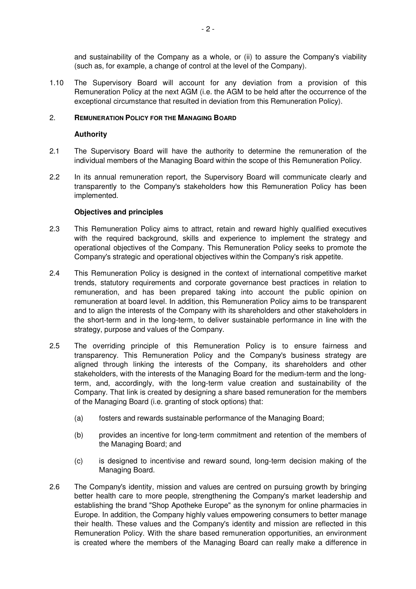and sustainability of the Company as a whole, or (ii) to assure the Company's viability (such as, for example, a change of control at the level of the Company).

1.10 The Supervisory Board will account for any deviation from a provision of this Remuneration Policy at the next AGM (i.e. the AGM to be held after the occurrence of the exceptional circumstance that resulted in deviation from this Remuneration Policy).

## 2. **REMUNERATION POLICY FOR THE MANAGING BOARD**

## **Authority**

- 2.1 The Supervisory Board will have the authority to determine the remuneration of the individual members of the Managing Board within the scope of this Remuneration Policy.
- 2.2 In its annual remuneration report, the Supervisory Board will communicate clearly and transparently to the Company's stakeholders how this Remuneration Policy has been implemented.

## **Objectives and principles**

- 2.3 This Remuneration Policy aims to attract, retain and reward highly qualified executives with the required background, skills and experience to implement the strategy and operational objectives of the Company. This Remuneration Policy seeks to promote the Company's strategic and operational objectives within the Company's risk appetite.
- 2.4 This Remuneration Policy is designed in the context of international competitive market trends, statutory requirements and corporate governance best practices in relation to remuneration, and has been prepared taking into account the public opinion on remuneration at board level. In addition, this Remuneration Policy aims to be transparent and to align the interests of the Company with its shareholders and other stakeholders in the short-term and in the long-term, to deliver sustainable performance in line with the strategy, purpose and values of the Company.
- 2.5 The overriding principle of this Remuneration Policy is to ensure fairness and transparency. This Remuneration Policy and the Company's business strategy are aligned through linking the interests of the Company, its shareholders and other stakeholders, with the interests of the Managing Board for the medium-term and the longterm, and, accordingly, with the long-term value creation and sustainability of the Company. That link is created by designing a share based remuneration for the members of the Managing Board (i.e. granting of stock options) that:
	- (a) fosters and rewards sustainable performance of the Managing Board;
	- (b) provides an incentive for long-term commitment and retention of the members of the Managing Board; and
	- (c) is designed to incentivise and reward sound, long-term decision making of the Managing Board.
- 2.6 The Company's identity, mission and values are centred on pursuing growth by bringing better health care to more people, strengthening the Company's market leadership and establishing the brand "Shop Apotheke Europe" as the synonym for online pharmacies in Europe. In addition, the Company highly values empowering consumers to better manage their health. These values and the Company's identity and mission are reflected in this Remuneration Policy. With the share based remuneration opportunities, an environment is created where the members of the Managing Board can really make a difference in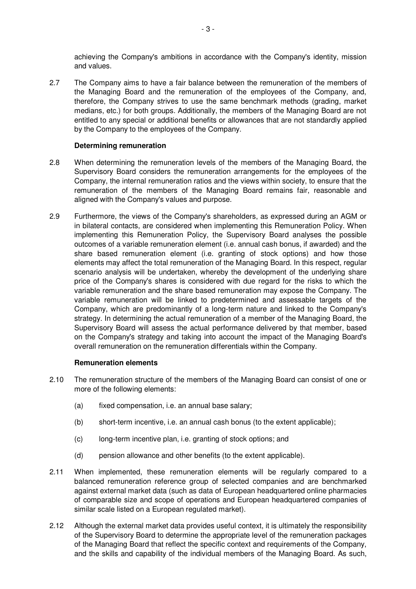achieving the Company's ambitions in accordance with the Company's identity, mission and values.

2.7 The Company aims to have a fair balance between the remuneration of the members of the Managing Board and the remuneration of the employees of the Company, and, therefore, the Company strives to use the same benchmark methods (grading, market medians, etc.) for both groups. Additionally, the members of the Managing Board are not entitled to any special or additional benefits or allowances that are not standardly applied by the Company to the employees of the Company.

## **Determining remuneration**

- 2.8 When determining the remuneration levels of the members of the Managing Board, the Supervisory Board considers the remuneration arrangements for the employees of the Company, the internal remuneration ratios and the views within society, to ensure that the remuneration of the members of the Managing Board remains fair, reasonable and aligned with the Company's values and purpose.
- 2.9 Furthermore, the views of the Company's shareholders, as expressed during an AGM or in bilateral contacts, are considered when implementing this Remuneration Policy. When implementing this Remuneration Policy, the Supervisory Board analyses the possible outcomes of a variable remuneration element (i.e. annual cash bonus, if awarded) and the share based remuneration element (i.e. granting of stock options) and how those elements may affect the total remuneration of the Managing Board. In this respect, regular scenario analysis will be undertaken, whereby the development of the underlying share price of the Company's shares is considered with due regard for the risks to which the variable remuneration and the share based remuneration may expose the Company. The variable remuneration will be linked to predetermined and assessable targets of the Company, which are predominantly of a long-term nature and linked to the Company's strategy. In determining the actual remuneration of a member of the Managing Board, the Supervisory Board will assess the actual performance delivered by that member, based on the Company's strategy and taking into account the impact of the Managing Board's overall remuneration on the remuneration differentials within the Company.

#### **Remuneration elements**

- 2.10 The remuneration structure of the members of the Managing Board can consist of one or more of the following elements:
	- (a) fixed compensation, i.e. an annual base salary;
	- (b) short-term incentive, i.e. an annual cash bonus (to the extent applicable);
	- (c) long-term incentive plan, i.e. granting of stock options; and
	- (d) pension allowance and other benefits (to the extent applicable).
- 2.11 When implemented, these remuneration elements will be regularly compared to a balanced remuneration reference group of selected companies and are benchmarked against external market data (such as data of European headquartered online pharmacies of comparable size and scope of operations and European headquartered companies of similar scale listed on a European regulated market).
- 2.12 Although the external market data provides useful context, it is ultimately the responsibility of the Supervisory Board to determine the appropriate level of the remuneration packages of the Managing Board that reflect the specific context and requirements of the Company, and the skills and capability of the individual members of the Managing Board. As such,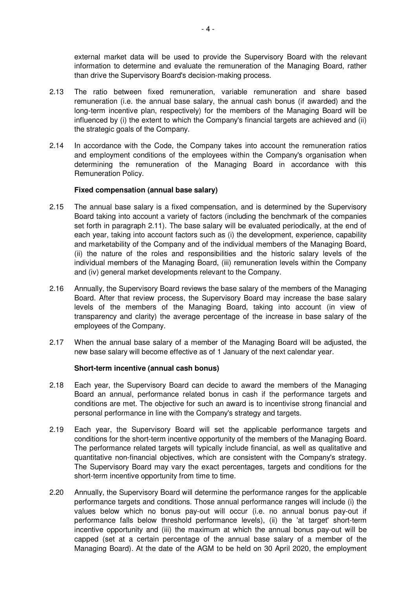external market data will be used to provide the Supervisory Board with the relevant information to determine and evaluate the remuneration of the Managing Board, rather than drive the Supervisory Board's decision-making process.

- 2.13 The ratio between fixed remuneration, variable remuneration and share based remuneration (i.e. the annual base salary, the annual cash bonus (if awarded) and the long-term incentive plan, respectively) for the members of the Managing Board will be influenced by (i) the extent to which the Company's financial targets are achieved and (ii) the strategic goals of the Company.
- 2.14 In accordance with the Code, the Company takes into account the remuneration ratios and employment conditions of the employees within the Company's organisation when determining the remuneration of the Managing Board in accordance with this Remuneration Policy.

## **Fixed compensation (annual base salary)**

- 2.15 The annual base salary is a fixed compensation, and is determined by the Supervisory Board taking into account a variety of factors (including the benchmark of the companies set forth in paragraph 2.11). The base salary will be evaluated periodically, at the end of each year, taking into account factors such as (i) the development, experience, capability and marketability of the Company and of the individual members of the Managing Board, (ii) the nature of the roles and responsibilities and the historic salary levels of the individual members of the Managing Board, (iii) remuneration levels within the Company and (iv) general market developments relevant to the Company.
- 2.16 Annually, the Supervisory Board reviews the base salary of the members of the Managing Board. After that review process, the Supervisory Board may increase the base salary levels of the members of the Managing Board, taking into account (in view of transparency and clarity) the average percentage of the increase in base salary of the employees of the Company.
- 2.17 When the annual base salary of a member of the Managing Board will be adjusted, the new base salary will become effective as of 1 January of the next calendar year.

#### **Short-term incentive (annual cash bonus)**

- 2.18 Each year, the Supervisory Board can decide to award the members of the Managing Board an annual, performance related bonus in cash if the performance targets and conditions are met. The objective for such an award is to incentivise strong financial and personal performance in line with the Company's strategy and targets.
- 2.19 Each year, the Supervisory Board will set the applicable performance targets and conditions for the short-term incentive opportunity of the members of the Managing Board. The performance related targets will typically include financial, as well as qualitative and quantitative non-financial objectives, which are consistent with the Company's strategy. The Supervisory Board may vary the exact percentages, targets and conditions for the short-term incentive opportunity from time to time.
- 2.20 Annually, the Supervisory Board will determine the performance ranges for the applicable performance targets and conditions. Those annual performance ranges will include (i) the values below which no bonus pay-out will occur (i.e. no annual bonus pay-out if performance falls below threshold performance levels), (ii) the 'at target' short-term incentive opportunity and (iii) the maximum at which the annual bonus pay-out will be capped (set at a certain percentage of the annual base salary of a member of the Managing Board). At the date of the AGM to be held on 30 April 2020, the employment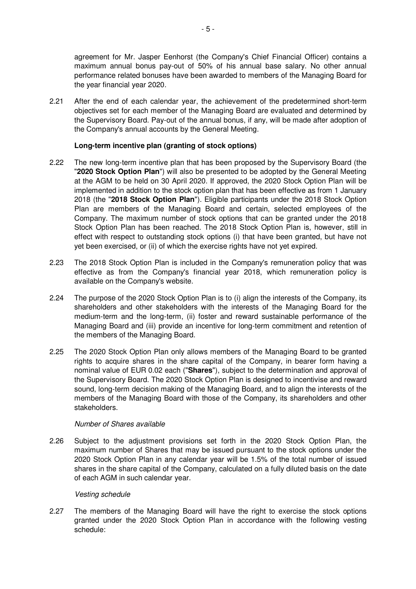agreement for Mr. Jasper Eenhorst (the Company's Chief Financial Officer) contains a maximum annual bonus pay-out of 50% of his annual base salary. No other annual performance related bonuses have been awarded to members of the Managing Board for the year financial year 2020.

2.21 After the end of each calendar year, the achievement of the predetermined short-term objectives set for each member of the Managing Board are evaluated and determined by the Supervisory Board. Pay-out of the annual bonus, if any, will be made after adoption of the Company's annual accounts by the General Meeting.

## **Long-term incentive plan (granting of stock options)**

- 2.22 The new long-term incentive plan that has been proposed by the Supervisory Board (the "**2020 Stock Option Plan**") will also be presented to be adopted by the General Meeting at the AGM to be held on 30 April 2020. If approved, the 2020 Stock Option Plan will be implemented in addition to the stock option plan that has been effective as from 1 January 2018 (the "**2018 Stock Option Plan**"). Eligible participants under the 2018 Stock Option Plan are members of the Managing Board and certain, selected employees of the Company. The maximum number of stock options that can be granted under the 2018 Stock Option Plan has been reached. The 2018 Stock Option Plan is, however, still in effect with respect to outstanding stock options (i) that have been granted, but have not yet been exercised, or (ii) of which the exercise rights have not yet expired.
- 2.23 The 2018 Stock Option Plan is included in the Company's remuneration policy that was effective as from the Company's financial year 2018, which remuneration policy is available on the Company's website.
- 2.24 The purpose of the 2020 Stock Option Plan is to (i) align the interests of the Company, its shareholders and other stakeholders with the interests of the Managing Board for the medium-term and the long-term, (ii) foster and reward sustainable performance of the Managing Board and (iii) provide an incentive for long-term commitment and retention of the members of the Managing Board.
- 2.25 The 2020 Stock Option Plan only allows members of the Managing Board to be granted rights to acquire shares in the share capital of the Company, in bearer form having a nominal value of EUR 0.02 each ("**Shares**"), subject to the determination and approval of the Supervisory Board. The 2020 Stock Option Plan is designed to incentivise and reward sound, long-term decision making of the Managing Board, and to align the interests of the members of the Managing Board with those of the Company, its shareholders and other stakeholders.

#### Number of Shares available

2.26 Subject to the adjustment provisions set forth in the 2020 Stock Option Plan, the maximum number of Shares that may be issued pursuant to the stock options under the 2020 Stock Option Plan in any calendar year will be 1.5% of the total number of issued shares in the share capital of the Company, calculated on a fully diluted basis on the date of each AGM in such calendar year.

#### Vesting schedule

2.27 The members of the Managing Board will have the right to exercise the stock options granted under the 2020 Stock Option Plan in accordance with the following vesting schedule: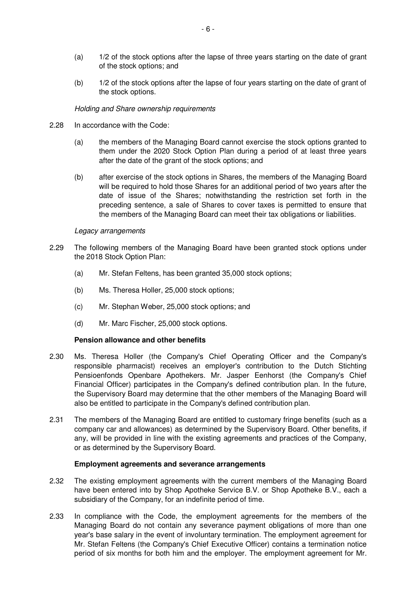- (a) 1/2 of the stock options after the lapse of three years starting on the date of grant of the stock options; and
- (b) 1/2 of the stock options after the lapse of four years starting on the date of grant of the stock options.

#### Holding and Share ownership requirements

- 2.28 In accordance with the Code:
	- (a) the members of the Managing Board cannot exercise the stock options granted to them under the 2020 Stock Option Plan during a period of at least three years after the date of the grant of the stock options; and
	- (b) after exercise of the stock options in Shares, the members of the Managing Board will be required to hold those Shares for an additional period of two years after the date of issue of the Shares; notwithstanding the restriction set forth in the preceding sentence, a sale of Shares to cover taxes is permitted to ensure that the members of the Managing Board can meet their tax obligations or liabilities.

#### Legacy arrangements

- 2.29 The following members of the Managing Board have been granted stock options under the 2018 Stock Option Plan:
	- (a) Mr. Stefan Feltens, has been granted 35,000 stock options;
	- (b) Ms. Theresa Holler, 25,000 stock options;
	- (c) Mr. Stephan Weber, 25,000 stock options; and
	- (d) Mr. Marc Fischer, 25,000 stock options.

#### **Pension allowance and other benefits**

- 2.30 Ms. Theresa Holler (the Company's Chief Operating Officer and the Company's responsible pharmacist) receives an employer's contribution to the Dutch Stichting Pensioenfonds Openbare Apothekers. Mr. Jasper Eenhorst (the Company's Chief Financial Officer) participates in the Company's defined contribution plan. In the future, the Supervisory Board may determine that the other members of the Managing Board will also be entitled to participate in the Company's defined contribution plan.
- 2.31 The members of the Managing Board are entitled to customary fringe benefits (such as a company car and allowances) as determined by the Supervisory Board. Other benefits, if any, will be provided in line with the existing agreements and practices of the Company, or as determined by the Supervisory Board.

#### **Employment agreements and severance arrangements**

- 2.32 The existing employment agreements with the current members of the Managing Board have been entered into by Shop Apotheke Service B.V. or Shop Apotheke B.V., each a subsidiary of the Company, for an indefinite period of time.
- 2.33 In compliance with the Code, the employment agreements for the members of the Managing Board do not contain any severance payment obligations of more than one year's base salary in the event of involuntary termination. The employment agreement for Mr. Stefan Feltens (the Company's Chief Executive Officer) contains a termination notice period of six months for both him and the employer. The employment agreement for Mr.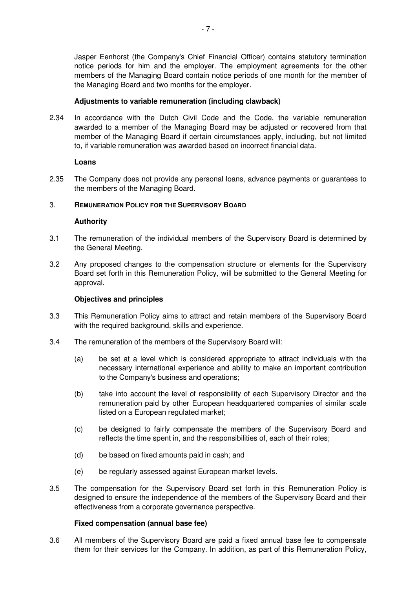Jasper Eenhorst (the Company's Chief Financial Officer) contains statutory termination notice periods for him and the employer. The employment agreements for the other members of the Managing Board contain notice periods of one month for the member of the Managing Board and two months for the employer.

## **Adjustments to variable remuneration (including clawback)**

2.34 In accordance with the Dutch Civil Code and the Code, the variable remuneration awarded to a member of the Managing Board may be adjusted or recovered from that member of the Managing Board if certain circumstances apply, including, but not limited to, if variable remuneration was awarded based on incorrect financial data.

#### **Loans**

2.35 The Company does not provide any personal loans, advance payments or guarantees to the members of the Managing Board.

## 3. **REMUNERATION POLICY FOR THE SUPERVISORY BOARD**

#### **Authority**

- 3.1 The remuneration of the individual members of the Supervisory Board is determined by the General Meeting.
- 3.2 Any proposed changes to the compensation structure or elements for the Supervisory Board set forth in this Remuneration Policy, will be submitted to the General Meeting for approval.

#### **Objectives and principles**

- 3.3 This Remuneration Policy aims to attract and retain members of the Supervisory Board with the required background, skills and experience.
- 3.4 The remuneration of the members of the Supervisory Board will:
	- (a) be set at a level which is considered appropriate to attract individuals with the necessary international experience and ability to make an important contribution to the Company's business and operations;
	- (b) take into account the level of responsibility of each Supervisory Director and the remuneration paid by other European headquartered companies of similar scale listed on a European regulated market;
	- (c) be designed to fairly compensate the members of the Supervisory Board and reflects the time spent in, and the responsibilities of, each of their roles;
	- (d) be based on fixed amounts paid in cash; and
	- (e) be regularly assessed against European market levels.
- 3.5 The compensation for the Supervisory Board set forth in this Remuneration Policy is designed to ensure the independence of the members of the Supervisory Board and their effectiveness from a corporate governance perspective.

#### **Fixed compensation (annual base fee)**

3.6 All members of the Supervisory Board are paid a fixed annual base fee to compensate them for their services for the Company. In addition, as part of this Remuneration Policy,